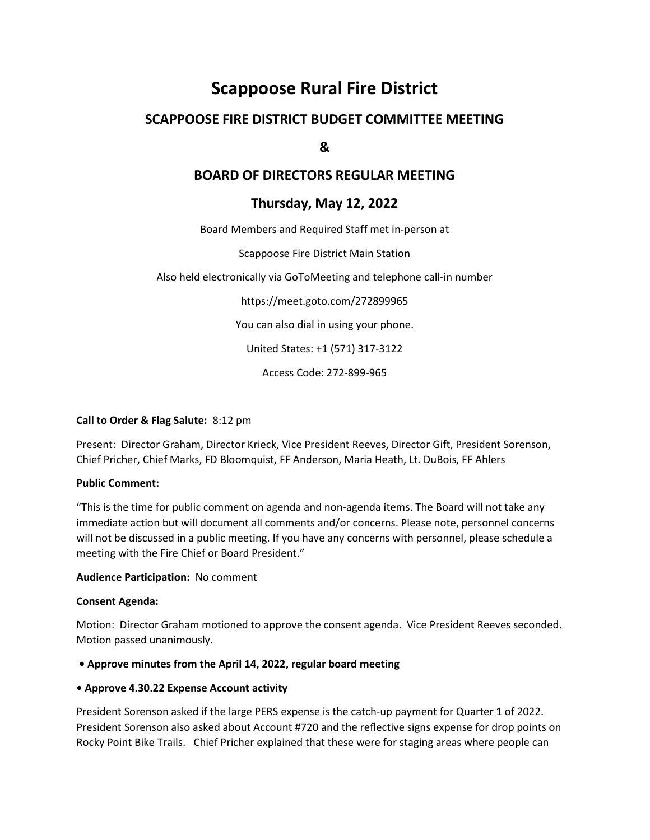# Scappoose Rural Fire District

# SCAPPOOSE FIRE DISTRICT BUDGET COMMITTEE MEETING

## &

## BOARD OF DIRECTORS REGULAR MEETING

## Thursday, May 12, 2022

Board Members and Required Staff met in-person at

Scappoose Fire District Main Station

Also held electronically via GoToMeeting and telephone call-in number

https://meet.goto.com/272899965 You can also dial in using your phone. United States: +1 (571) 317-3122

Access Code: 272-899-965

#### Call to Order & Flag Salute: 8:12 pm

Present: Director Graham, Director Krieck, Vice President Reeves, Director Gift, President Sorenson, Chief Pricher, Chief Marks, FD Bloomquist, FF Anderson, Maria Heath, Lt. DuBois, FF Ahlers

#### Public Comment:

"This is the time for public comment on agenda and non-agenda items. The Board will not take any immediate action but will document all comments and/or concerns. Please note, personnel concerns will not be discussed in a public meeting. If you have any concerns with personnel, please schedule a meeting with the Fire Chief or Board President."

#### Audience Participation: No comment

#### Consent Agenda:

Motion: Director Graham motioned to approve the consent agenda. Vice President Reeves seconded. Motion passed unanimously.

#### • Approve minutes from the April 14, 2022, regular board meeting

#### • Approve 4.30.22 Expense Account activity

President Sorenson asked if the large PERS expense is the catch-up payment for Quarter 1 of 2022. President Sorenson also asked about Account #720 and the reflective signs expense for drop points on Rocky Point Bike Trails. Chief Pricher explained that these were for staging areas where people can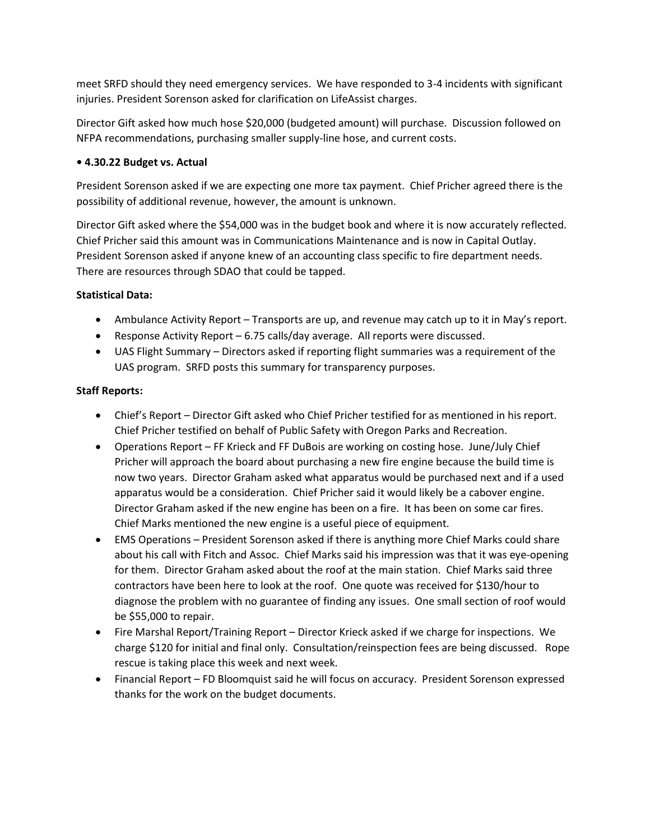meet SRFD should they need emergency services. We have responded to 3-4 incidents with significant injuries. President Sorenson asked for clarification on LifeAssist charges.

Director Gift asked how much hose \$20,000 (budgeted amount) will purchase. Discussion followed on NFPA recommendations, purchasing smaller supply-line hose, and current costs.

#### • 4.30.22 Budget vs. Actual

President Sorenson asked if we are expecting one more tax payment. Chief Pricher agreed there is the possibility of additional revenue, however, the amount is unknown.

Director Gift asked where the \$54,000 was in the budget book and where it is now accurately reflected. Chief Pricher said this amount was in Communications Maintenance and is now in Capital Outlay. President Sorenson asked if anyone knew of an accounting class specific to fire department needs. There are resources through SDAO that could be tapped.

#### Statistical Data:

- Ambulance Activity Report Transports are up, and revenue may catch up to it in May's report.
- Response Activity Report 6.75 calls/day average. All reports were discussed.
- UAS Flight Summary Directors asked if reporting flight summaries was a requirement of the UAS program. SRFD posts this summary for transparency purposes.

#### Staff Reports:

- Chief's Report Director Gift asked who Chief Pricher testified for as mentioned in his report. Chief Pricher testified on behalf of Public Safety with Oregon Parks and Recreation.
- Operations Report FF Krieck and FF DuBois are working on costing hose. June/July Chief Pricher will approach the board about purchasing a new fire engine because the build time is now two years. Director Graham asked what apparatus would be purchased next and if a used apparatus would be a consideration. Chief Pricher said it would likely be a cabover engine. Director Graham asked if the new engine has been on a fire. It has been on some car fires. Chief Marks mentioned the new engine is a useful piece of equipment.
- EMS Operations President Sorenson asked if there is anything more Chief Marks could share about his call with Fitch and Assoc. Chief Marks said his impression was that it was eye-opening for them. Director Graham asked about the roof at the main station. Chief Marks said three contractors have been here to look at the roof. One quote was received for \$130/hour to diagnose the problem with no guarantee of finding any issues. One small section of roof would be \$55,000 to repair.
- Fire Marshal Report/Training Report Director Krieck asked if we charge for inspections. We charge \$120 for initial and final only. Consultation/reinspection fees are being discussed. Rope rescue is taking place this week and next week.
- Financial Report FD Bloomquist said he will focus on accuracy. President Sorenson expressed thanks for the work on the budget documents.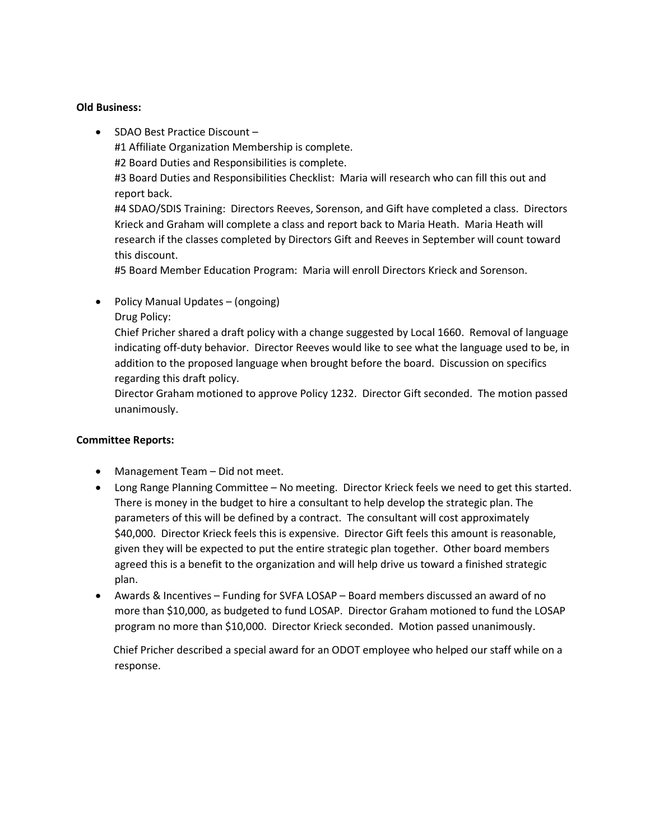#### Old Business:

• SDAO Best Practice Discount -

#1 Affiliate Organization Membership is complete.

#2 Board Duties and Responsibilities is complete.

#3 Board Duties and Responsibilities Checklist: Maria will research who can fill this out and report back.

#4 SDAO/SDIS Training: Directors Reeves, Sorenson, and Gift have completed a class. Directors Krieck and Graham will complete a class and report back to Maria Heath. Maria Heath will research if the classes completed by Directors Gift and Reeves in September will count toward this discount.

#5 Board Member Education Program: Maria will enroll Directors Krieck and Sorenson.

• Policy Manual Updates – (ongoing) Drug Policy:

Chief Pricher shared a draft policy with a change suggested by Local 1660. Removal of language indicating off-duty behavior. Director Reeves would like to see what the language used to be, in addition to the proposed language when brought before the board. Discussion on specifics regarding this draft policy.

Director Graham motioned to approve Policy 1232. Director Gift seconded. The motion passed unanimously.

#### Committee Reports:

- Management Team Did not meet.
- Long Range Planning Committee No meeting. Director Krieck feels we need to get this started. There is money in the budget to hire a consultant to help develop the strategic plan. The parameters of this will be defined by a contract. The consultant will cost approximately \$40,000. Director Krieck feels this is expensive. Director Gift feels this amount is reasonable, given they will be expected to put the entire strategic plan together. Other board members agreed this is a benefit to the organization and will help drive us toward a finished strategic plan.
- Awards & Incentives Funding for SVFA LOSAP Board members discussed an award of no more than \$10,000, as budgeted to fund LOSAP. Director Graham motioned to fund the LOSAP program no more than \$10,000. Director Krieck seconded. Motion passed unanimously.

 Chief Pricher described a special award for an ODOT employee who helped our staff while on a response.